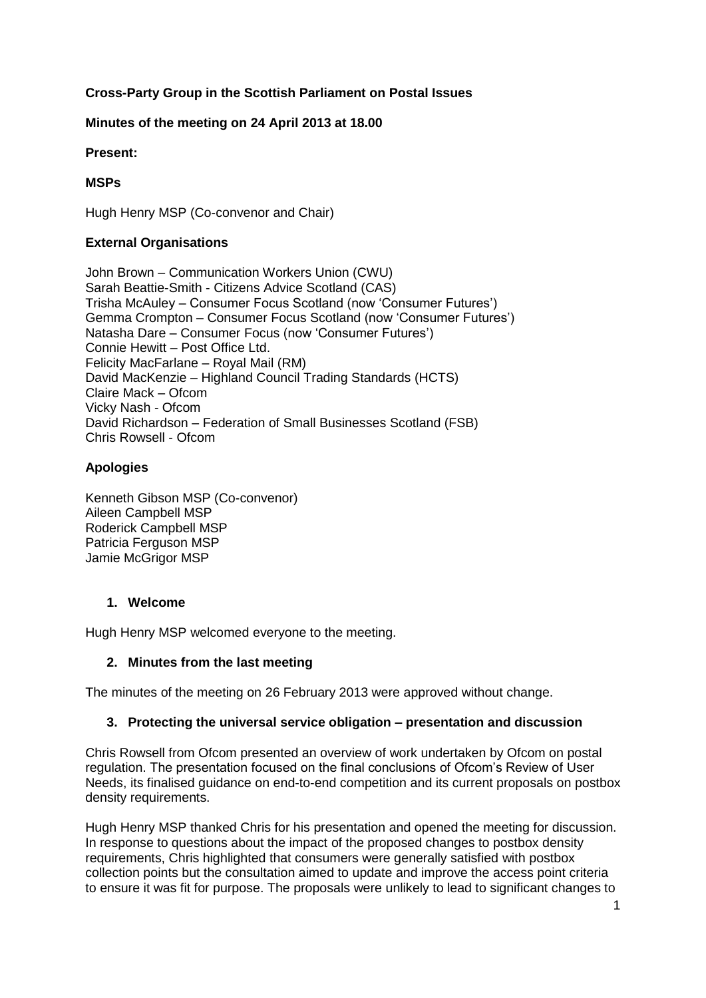# **Cross-Party Group in the Scottish Parliament on Postal Issues**

## **Minutes of the meeting on 24 April 2013 at 18.00**

#### **Present:**

### **MSPs**

Hugh Henry MSP (Co-convenor and Chair)

#### **External Organisations**

John Brown – Communication Workers Union (CWU) Sarah Beattie-Smith - Citizens Advice Scotland (CAS) Trisha McAuley – Consumer Focus Scotland (now 'Consumer Futures') Gemma Crompton – Consumer Focus Scotland (now 'Consumer Futures') Natasha Dare – Consumer Focus (now 'Consumer Futures') Connie Hewitt – Post Office Ltd. Felicity MacFarlane – Royal Mail (RM) David MacKenzie – Highland Council Trading Standards (HCTS) Claire Mack – Ofcom Vicky Nash - Ofcom David Richardson – Federation of Small Businesses Scotland (FSB) Chris Rowsell - Ofcom

## **Apologies**

Kenneth Gibson MSP (Co-convenor) Aileen Campbell MSP Roderick Campbell MSP Patricia Ferguson MSP Jamie McGrigor MSP

#### **1. Welcome**

Hugh Henry MSP welcomed everyone to the meeting.

#### **2. Minutes from the last meeting**

The minutes of the meeting on 26 February 2013 were approved without change.

#### **3. Protecting the universal service obligation – presentation and discussion**

Chris Rowsell from Ofcom presented an overview of work undertaken by Ofcom on postal regulation. The presentation focused on the final conclusions of Ofcom's Review of User Needs, its finalised guidance on end-to-end competition and its current proposals on postbox density requirements.

Hugh Henry MSP thanked Chris for his presentation and opened the meeting for discussion. In response to questions about the impact of the proposed changes to postbox density requirements, Chris highlighted that consumers were generally satisfied with postbox collection points but the consultation aimed to update and improve the access point criteria to ensure it was fit for purpose. The proposals were unlikely to lead to significant changes to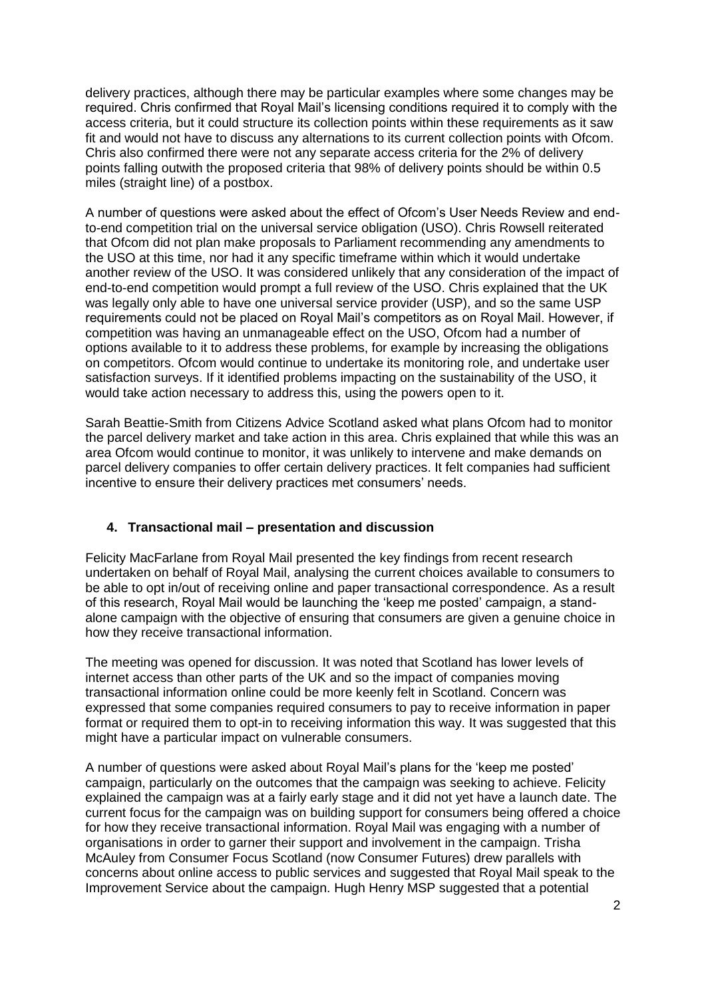delivery practices, although there may be particular examples where some changes may be required. Chris confirmed that Royal Mail's licensing conditions required it to comply with the access criteria, but it could structure its collection points within these requirements as it saw fit and would not have to discuss any alternations to its current collection points with Ofcom. Chris also confirmed there were not any separate access criteria for the 2% of delivery points falling outwith the proposed criteria that 98% of delivery points should be within 0.5 miles (straight line) of a postbox.

A number of questions were asked about the effect of Ofcom's User Needs Review and endto-end competition trial on the universal service obligation (USO). Chris Rowsell reiterated that Ofcom did not plan make proposals to Parliament recommending any amendments to the USO at this time, nor had it any specific timeframe within which it would undertake another review of the USO. It was considered unlikely that any consideration of the impact of end-to-end competition would prompt a full review of the USO. Chris explained that the UK was legally only able to have one universal service provider (USP), and so the same USP requirements could not be placed on Royal Mail's competitors as on Royal Mail. However, if competition was having an unmanageable effect on the USO, Ofcom had a number of options available to it to address these problems, for example by increasing the obligations on competitors. Ofcom would continue to undertake its monitoring role, and undertake user satisfaction surveys. If it identified problems impacting on the sustainability of the USO, it would take action necessary to address this, using the powers open to it.

Sarah Beattie-Smith from Citizens Advice Scotland asked what plans Ofcom had to monitor the parcel delivery market and take action in this area. Chris explained that while this was an area Ofcom would continue to monitor, it was unlikely to intervene and make demands on parcel delivery companies to offer certain delivery practices. It felt companies had sufficient incentive to ensure their delivery practices met consumers' needs.

#### **4. Transactional mail – presentation and discussion**

Felicity MacFarlane from Royal Mail presented the key findings from recent research undertaken on behalf of Royal Mail, analysing the current choices available to consumers to be able to opt in/out of receiving online and paper transactional correspondence. As a result of this research, Royal Mail would be launching the 'keep me posted' campaign, a standalone campaign with the objective of ensuring that consumers are given a genuine choice in how they receive transactional information.

The meeting was opened for discussion. It was noted that Scotland has lower levels of internet access than other parts of the UK and so the impact of companies moving transactional information online could be more keenly felt in Scotland. Concern was expressed that some companies required consumers to pay to receive information in paper format or required them to opt-in to receiving information this way. It was suggested that this might have a particular impact on vulnerable consumers.

A number of questions were asked about Royal Mail's plans for the 'keep me posted' campaign, particularly on the outcomes that the campaign was seeking to achieve. Felicity explained the campaign was at a fairly early stage and it did not yet have a launch date. The current focus for the campaign was on building support for consumers being offered a choice for how they receive transactional information. Royal Mail was engaging with a number of organisations in order to garner their support and involvement in the campaign. Trisha McAuley from Consumer Focus Scotland (now Consumer Futures) drew parallels with concerns about online access to public services and suggested that Royal Mail speak to the Improvement Service about the campaign. Hugh Henry MSP suggested that a potential